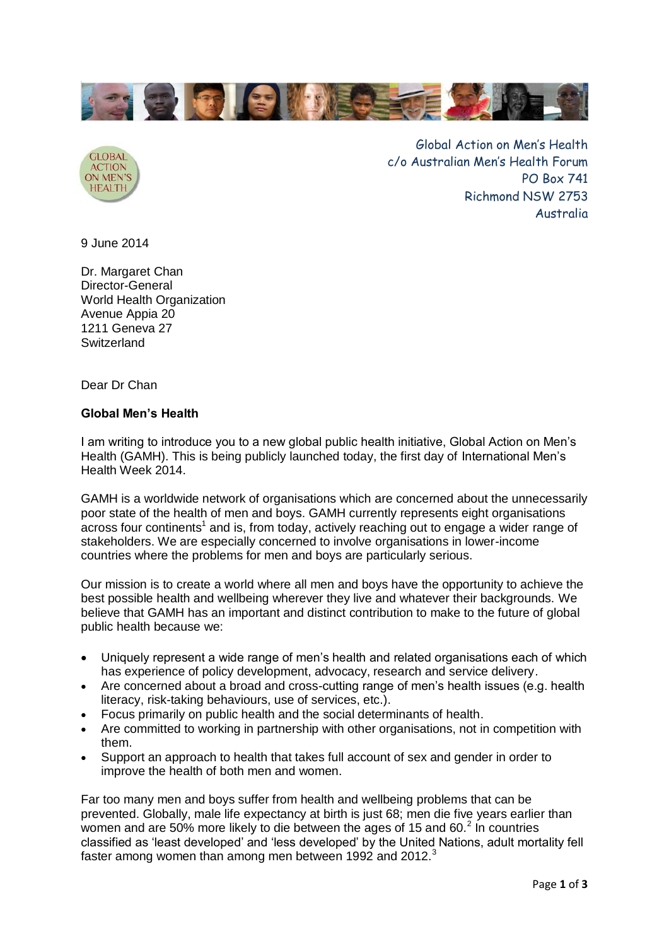



Global Action on Men's Health c/o Australian Men's Health Forum PO Box 741 Richmond NSW 2753 Australia

9 June 2014

Dr. Margaret Chan Director-General World Health Organization Avenue Appia 20 1211 Geneva 27 Switzerland

Dear Dr Chan

## **Global Men's Health**

I am writing to introduce you to a new global public health initiative, Global Action on Men's Health (GAMH). This is being publicly launched today, the first day of International Men's Health Week 2014.

GAMH is a worldwide network of organisations which are concerned about the unnecessarily poor state of the health of men and boys. GAMH currently represents eight organisations  $a$  across four continents<sup>1</sup> and is, from today, actively reaching out to engage a wider range of stakeholders. We are especially concerned to involve organisations in lower-income countries where the problems for men and boys are particularly serious.

Our mission is to create a world where all men and boys have the opportunity to achieve the best possible health and wellbeing wherever they live and whatever their backgrounds. We believe that GAMH has an important and distinct contribution to make to the future of global public health because we:

- Uniquely represent a wide range of men's health and related organisations each of which has experience of policy development, advocacy, research and service delivery.
- Are concerned about a broad and cross-cutting range of men's health issues (e.g. health literacy, risk-taking behaviours, use of services, etc.).
- Focus primarily on public health and the social determinants of health.
- Are committed to working in partnership with other organisations, not in competition with them.
- Support an approach to health that takes full account of sex and gender in order to improve the health of both men and women.

Far too many men and boys suffer from health and wellbeing problems that can be prevented. Globally, male life expectancy at birth is just 68; men die five years earlier than women and are 50% more likely to die between the ages of 15 and 60. $^2$  In countries classified as 'least developed' and 'less developed' by the United Nations, adult mortality fell faster among women than among men between 1992 and 2012.<sup>3</sup>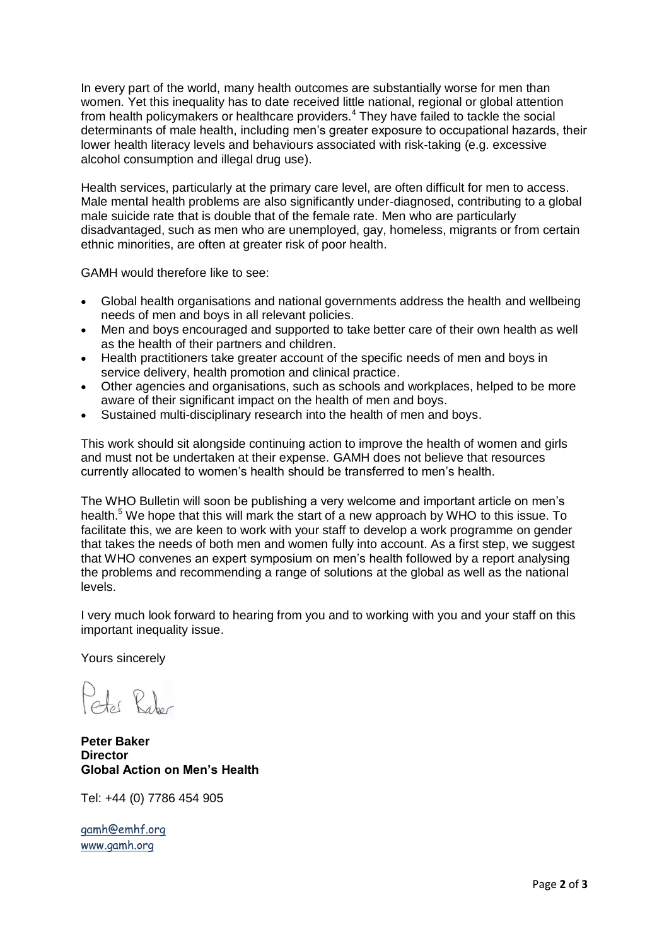In every part of the world, many health outcomes are substantially worse for men than women. Yet this inequality has to date received little national, regional or global attention from health policymakers or healthcare providers.<sup>4</sup> They have failed to tackle the social determinants of male health, including men's greater exposure to occupational hazards, their lower health literacy levels and behaviours associated with risk-taking (e.g. excessive alcohol consumption and illegal drug use).

Health services, particularly at the primary care level, are often difficult for men to access. Male mental health problems are also significantly under-diagnosed, contributing to a global male suicide rate that is double that of the female rate. Men who are particularly disadvantaged, such as men who are unemployed, gay, homeless, migrants or from certain ethnic minorities, are often at greater risk of poor health.

GAMH would therefore like to see:

- Global health organisations and national governments address the health and wellbeing needs of men and boys in all relevant policies.
- Men and boys encouraged and supported to take better care of their own health as well as the health of their partners and children.
- Health practitioners take greater account of the specific needs of men and boys in service delivery, health promotion and clinical practice.
- Other agencies and organisations, such as schools and workplaces, helped to be more aware of their significant impact on the health of men and boys.
- Sustained multi-disciplinary research into the health of men and boys.

This work should sit alongside continuing action to improve the health of women and girls and must not be undertaken at their expense. GAMH does not believe that resources currently allocated to women's health should be transferred to men's health.

The WHO Bulletin will soon be publishing a very welcome and important article on men's health.<sup>5</sup> We hope that this will mark the start of a new approach by WHO to this issue. To facilitate this, we are keen to work with your staff to develop a work programme on gender that takes the needs of both men and women fully into account. As a first step, we suggest that WHO convenes an expert symposium on men's health followed by a report analysing the problems and recommending a range of solutions at the global as well as the national levels.

I very much look forward to hearing from you and to working with you and your staff on this important inequality issue.

Yours sincerely

 $P_{\text{obs}}$   $R_{\text{obs}}$ 

**Peter Baker Director Global Action on Men's Health**

Tel: +44 (0) 7786 454 905

[gamh@emhf.org](mailto:gamh@emhf.org) [www.gamh.org](http://www.gamh.org/)